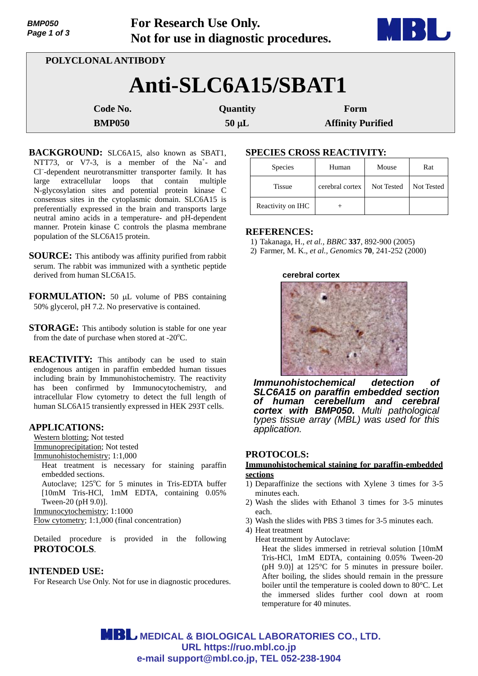| <b>BMP050</b><br>Page 1 of 3 |  | <b>For Research Use Only.</b><br>Not for use in diagnostic procedures. | BH.                      |  |  |  |
|------------------------------|--|------------------------------------------------------------------------|--------------------------|--|--|--|
| POLYCLONAL ANTIBODY          |  |                                                                        |                          |  |  |  |
| Anti-SLC6A15/SBAT1           |  |                                                                        |                          |  |  |  |
| Code No.                     |  | Quantity                                                               | Form                     |  |  |  |
| <b>BMP050</b>                |  | $50 \mu L$                                                             | <b>Affinity Purified</b> |  |  |  |

BACKGROUND: SLC6A15, also known as SBAT1, NTT73, or V7-3, is a member of the  $Na<sup>+</sup>$  and Cl– -dependent neurotransmitter transporter family. It has large extracellular loops that contain multiple N-glycosylation sites and potential protein kinase C consensus sites in the cytoplasmic domain. SLC6A15 is preferentially expressed in the brain and transports large neutral amino acids in a temperature- and pH-dependent manner. Protein kinase C controls the plasma membrane population of the SLC6A15 protein.

**SOURCE:** This antibody was affinity purified from rabbit serum. The rabbit was immunized with a synthetic peptide derived from human SLC6A15.

**FORMULATION:** 50 µL volume of PBS containing 50% glycerol, pH 7.2. No preservative is contained.

**STORAGE:** This antibody solution is stable for one year from the date of purchase when stored at - $20^{\circ}$ C.

**REACTIVITY:** This antibody can be used to stain endogenous antigen in paraffin embedded human tissues including brain by Immunohistochemistry. The reactivity has been confirmed by Immunocytochemistry, and intracellular Flow cytometry to detect the full length of human SLC6A15 transiently expressed in HEK 293T cells.

## **APPLICATIONS:**

Western blotting; Not tested

Immunoprecipitation; Not tested

Immunohistochemistry; 1:1,000

Heat treatment is necessary for staining paraffin embedded sections.

Autoclave; 125°C for 5 minutes in Tris-EDTA buffer [10mM Tris-HCl, 1mM EDTA, containing 0.05% Tween-20 (pH 9.0)].

Immunocytochemistry; 1:1000

Flow cytometry; 1:1,000 (final concentration)

Detailed procedure is provided in the following **PROTOCOLS**.

## **INTENDED USE:**

For Research Use Only. Not for use in diagnostic procedures.

# **SPECIES CROSS REACTIVITY:**

| Species           | Human           | Mouse      | Rat        |
|-------------------|-----------------|------------|------------|
| <b>Tissue</b>     | cerebral cortex | Not Tested | Not Tested |
| Reactivity on IHC |                 |            |            |

## **REFERENCES:**

1) Takanaga, H., *et al., BBRC* **337**, 892-900 (2005)

2) Farmer, M. K., *et al., Genomics* **70**, 241-252 (2000)

#### **cerebral cortex**



*Immunohistochemical detection of SLC6A15 on paraffin embedded section of human cerebellum and cerebral cortex with BMP050. Multi pathological types tissue array (MBL) was used for this application.*

## **PROTOCOLS:**

#### **Immunohistochemical staining for paraffin-embedded sections**

- 1) Deparaffinize the sections with Xylene 3 times for 3-5 minutes each.
- 2) Wash the slides with Ethanol 3 times for 3-5 minutes each.
- 3) Wash the slides with PBS 3 times for 3-5 minutes each.
- 4) Heat treatment

Heat treatment by Autoclave:

Heat the slides immersed in retrieval solution [10mM Tris-HCl, 1mM EDTA, containing 0.05% Tween-20 (pH 9.0)] at 125°C for 5 minutes in pressure boiler. After boiling, the slides should remain in the pressure boiler until the temperature is cooled down to 80°C. Let the immersed slides further cool down at room temperature for 40 minutes.

**MBL** MEDICAL & BIOLOGICAL LABORATORIES CO., LTD. **URL https://ruo.mbl.co.jp e-mail support@mbl.co.jp, TEL 052-238-1904**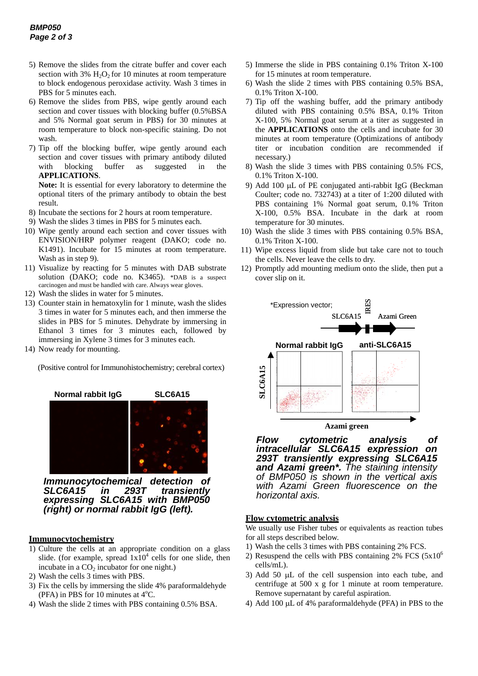- 5) Remove the slides from the citrate buffer and cover each section with  $3\%$  H<sub>2</sub>O<sub>2</sub> for 10 minutes at room temperature to block endogenous peroxidase activity. Wash 3 times in PBS for 5 minutes each.
- 6) Remove the slides from PBS, wipe gently around each section and cover tissues with blocking buffer (0.5%BSA and 5% Normal goat serum in PBS) for 30 minutes at room temperature to block non-specific staining. Do not wash.
- 7) Tip off the blocking buffer, wipe gently around each section and cover tissues with primary antibody diluted with blocking buffer as suggested in the **APPLICATIONS**.

**Note:** It is essential for every laboratory to determine the optional titers of the primary antibody to obtain the best result.

- 8) Incubate the sections for 2 hours at room temperature.
- 9) Wash the slides 3 times in PBS for 5 minutes each.
- 10) Wipe gently around each section and cover tissues with ENVISION/HRP polymer reagent (DAKO; code no. K1491). Incubate for 15 minutes at room temperature. Wash as in step 9).
- 11) Visualize by reacting for 5 minutes with DAB substrate solution (DAKO; code no. K3465). \*DAB is a suspect carcinogen and must be handled with care. Always wear gloves.
- 12) Wash the slides in water for 5 minutes.
- 13) Counter stain in hematoxylin for 1 minute, wash the slides 3 times in water for 5 minutes each, and then immerse the slides in PBS for 5 minutes. Dehydrate by immersing in Ethanol 3 times for 3 minutes each, followed by immersing in Xylene 3 times for 3 minutes each.
- 14) Now ready for mounting.

(Positive control for Immunohistochemistry; cerebral cortex)



*Immunocytochemical detection of SLC6A15 in 293T transiently expressing SLC6A15 with BMP050 (right) or normal rabbit IgG (left).*

#### **Immunocytochemistry**

- 1) Culture the cells at an appropriate condition on a glass slide. (for example, spread  $1x10^4$  cells for one slide, then incubate in a  $CO<sub>2</sub>$  incubator for one night.)
- 2) Wash the cells 3 times with PBS.
- 3) Fix the cells by immersing the slide 4% paraformaldehyde (PFA) in PBS for 10 minutes at  $4^{\circ}$ C.
- 4) Wash the slide 2 times with PBS containing 0.5% BSA.
- 5) Immerse the slide in PBS containing 0.1% Triton X-100 for 15 minutes at room temperature.
- 6) Wash the slide 2 times with PBS containing 0.5% BSA, 0.1% Triton X-100.
- 7) Tip off the washing buffer, add the primary antibody diluted with PBS containing 0.5% BSA, 0.1% Triton X-100, 5% Normal goat serum at a titer as suggested in the **APPLICATIONS** onto the cells and incubate for 30 minutes at room temperature (Optimizations of antibody titer or incubation condition are recommended if necessary.)
- 8) Wash the slide 3 times with PBS containing 0.5% FCS, 0.1% Triton X-100.
- 9) Add 100  $\mu$ L of PE conjugated anti-rabbit IgG (Beckman Coulter; code no. 732743) at a titer of 1:200 diluted with PBS containing 1% Normal goat serum, 0.1% Triton X-100, 0.5% BSA. Incubate in the dark at room temperature for 30 minutes.
- 10) Wash the slide 3 times with PBS containing 0.5% BSA, 0.1% Triton X-100.
- 11) Wipe excess liquid from slide but take care not to touch the cells. Never leave the cells to dry.
- 12) Promptly add mounting medium onto the slide, then put a cover slip on it.



**Azami green**

*Flow cytometric analysis of intracellular SLC6A15 expression on 293T transiently expressing SLC6A15 and Azami green\*. The staining intensity of BMP050 is shown in the vertical axis with Azami Green fluorescence on the horizontal axis.* 

#### **Flow cytometric analysis**

We usually use Fisher tubes or equivalents as reaction tubes for all steps described below.

- 1) Wash the cells 3 times with PBS containing 2% FCS.
- 2) Resuspend the cells with PBS containing  $2\%$  FCS ( $5x10^6$ ) cells/mL).
- 3) Add 50  $\mu$ L of the cell suspension into each tube, and centrifuge at 500 x g for 1 minute at room temperature. Remove supernatant by careful aspiration.
- 4) Add 100 uL of 4% paraformaldehyde (PFA) in PBS to the